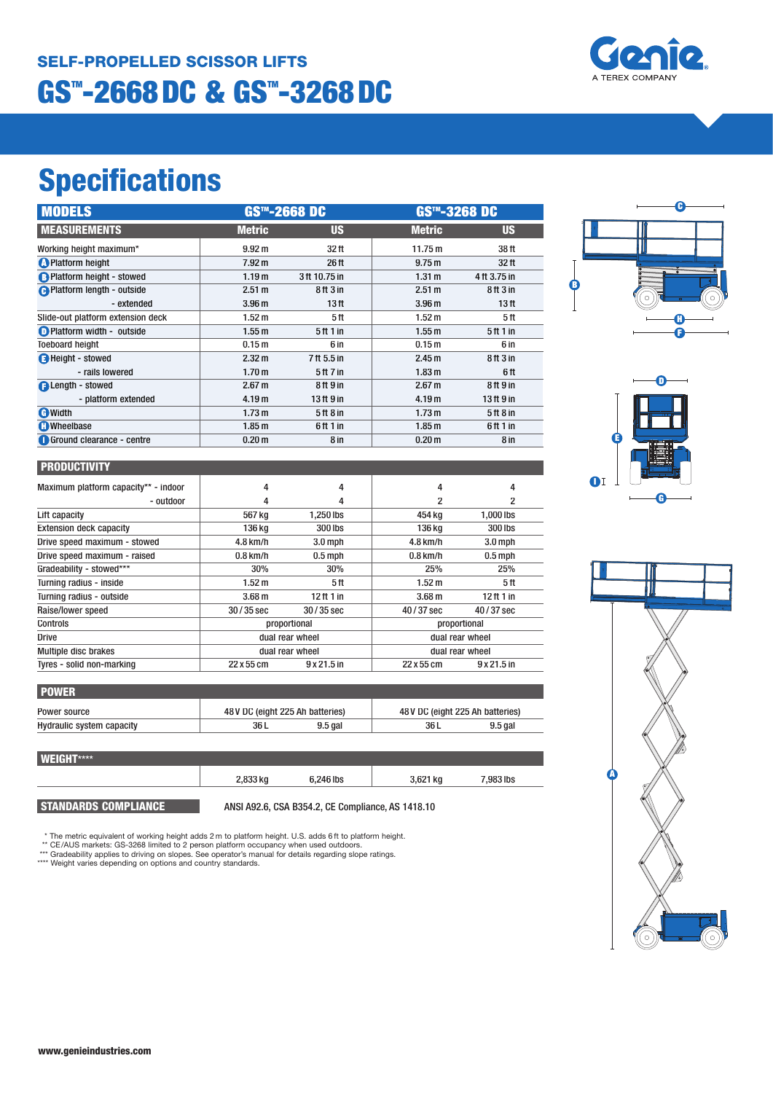### **GS™-2668DC & GS™-3268DC SELF-PROPELLED SCISSOR LIFTS**

# **Specifications**

| <b>MODELS</b>                      | <b>GS™-2668 DC</b> |                                 | GS™-3268 DC       |                                  |
|------------------------------------|--------------------|---------------------------------|-------------------|----------------------------------|
| <b>MEASUREMENTS</b>                | <b>Metric</b>      | <b>US</b>                       | <b>Metric</b>     | <b>US</b>                        |
| Working height maximum*            | 9.92 m             | 32 ft                           | 11.75 m           | 38 ft                            |
| <b>O</b> Platform height           | 7.92 <sub>m</sub>  | 26 ft                           | 9.75 m            | 32 <sub>ft</sub>                 |
| <b>B</b> Platform height - stowed  | 1.19 <sub>m</sub>  | 3ft 10.75 in                    | 1.31 m            | 4 ft 3.75 in                     |
| <b>A</b> Platform length - outside | 2.51 m             | 8ft3in                          | 2.51 m            | 8 <sup>th</sup> 3 <sup>in</sup>  |
| - extended                         | 3.96 <sub>m</sub>  | 13 ft                           | 3.96 <sub>m</sub> | 13 <sub>ft</sub>                 |
| Slide-out platform extension deck  | 1.52 <sub>m</sub>  | 5ft                             | 1.52 <sub>m</sub> | 5ft                              |
| Platform width - outside           | 1.55 <sub>m</sub>  | 5ft1in                          | 1.55m             | 5 <sup>th</sup> 1 <sup>in</sup>  |
| <b>Toeboard height</b>             | 0.15 <sub>m</sub>  | 6 in                            | 0.15 <sub>m</sub> | 6 in                             |
| <b>B</b> Height - stowed           | 2.32 m             | 7 ft 5.5 in                     | 2.45 <sub>m</sub> | 8 <sup>th</sup> 3 <sup>in</sup>  |
| - rails lowered                    | 1.70 <sub>m</sub>  | 5 ft 7 in                       | 1.83 <sub>m</sub> | 6 ft                             |
| <b>A</b> Length - stowed           | 2.67 m             | 8ft 9 in                        | 2.67 <sub>m</sub> | 8 ft 9 in                        |
| - platform extended                | 4.19 m             | 13 ft 9 in                      | 4.19 m            | 13 <sup>ft</sup> 9 <sup>in</sup> |
| <b>A</b> Width                     | 1.73 <sub>m</sub>  | 5 <sup>th</sup> 8 <sup>in</sup> | 1.73 <sub>m</sub> | 5 ft 8 in                        |
| <b>C</b> Wheelbase                 | 1.85 <sub>m</sub>  | 6ft 1 in                        | 1.85 <sub>m</sub> | 6ft1in                           |
| Ground clearance - centre          | 0.20 <sub>m</sub>  | 8 in                            | 0.20 <sub>m</sub> | 8 in                             |

|  |  | <b>PRODUCTIVITY</b> |
|--|--|---------------------|

| Maximum platform capacity** - indoor | 4                 | 4            | 4                 | 4                  |
|--------------------------------------|-------------------|--------------|-------------------|--------------------|
| - outdoor                            | 4                 | 4            | 2                 |                    |
| Lift capacity                        | 567 kg            | 1.250 lbs    | 454 ka            | 1.000 lbs          |
| <b>Extension deck capacity</b>       | 136 kg            | 300 lbs      | 136 kg            | 300 lbs            |
| Drive speed maximum - stowed         | $4.8$ km/h        | $3.0$ mph    | $4.8$ km/h        | $3.0$ mph          |
| Drive speed maximum - raised         | $0.8$ km/h        | $0.5$ mph    | $0.8$ km/h        | $0.5$ mph          |
| Gradeability - stowed***             | 30%               | 30%          | 25%               | 25%                |
| Turning radius - inside              | 1.52 <sub>m</sub> | 5ft          | 1.52 m            | 5ft                |
| Turning radius - outside             | 3.68 <sub>m</sub> | $12$ ft 1 in | 3.68 <sub>m</sub> | $12$ ft 1 in       |
| Raise/lower speed                    | $30/35$ sec       | $30/35$ sec  | $40/37$ sec       | 40/37 sec          |
| Controls                             | proportional      |              | proportional      |                    |
| <b>Drive</b>                         | dual rear wheel   |              | dual rear wheel   |                    |
| <b>Multiple disc brakes</b>          | dual rear wheel   |              | dual rear wheel   |                    |
| Tyres - solid non-marking            | 22 x 55 cm        | $9x21.5$ in  | 22 x 55 cm        | $9 \times 21.5$ in |

| 48 V DC (eight 225 Ah batteries) |           | 48 V DC (eight 225 Ah batteries) |           |
|----------------------------------|-----------|----------------------------------|-----------|
| 36 L                             | $9.5$ gal | 36 L                             | $9.5$ gal |
|                                  |           |                                  |           |

| <b>WEIGHT****</b> |          |           |          |           |
|-------------------|----------|-----------|----------|-----------|
|                   | 2,833 kg | 6,246 lbs | 3,621 kg | 7,983 lbs |
|                   |          |           |          |           |

**STANDARDS COMPLIANCE** ANSI A92.6, CSA B354.2, CE Compliance, AS 1418.10

\* The metric equivalent of working height adds 2 m to platform height. U.S. adds 6 ft to platform height.<br>\*\* CE/AUS markets: GS-3268 limited to 2 person platform occupancy when used outdoors.<br>\*\*\* Gradeability applies to dr

í. **C B H F**